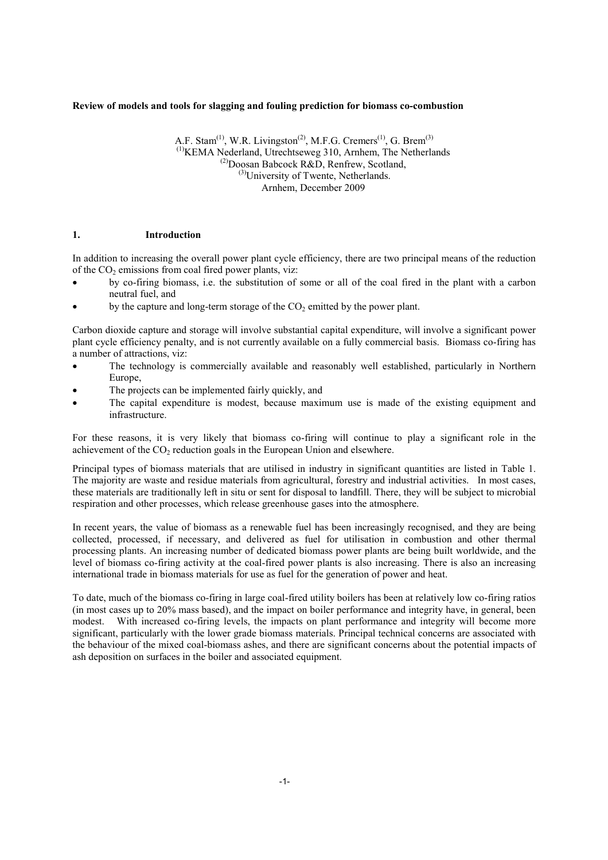# **Review of models and tools for slagging and fouling prediction for biomass co-combustion**

A.F. Stam<sup>(1)</sup>, W.R. Livingston<sup>(2)</sup>, M.F.G. Cremers<sup>(1)</sup>, G. Brem<sup>(3)</sup>  $<sup>(1)</sup>$ KEMA Nederland, Utrechtseweg 310, Arnhem, The Netherlands</sup> (2)Doosan Babcock R&D, Renfrew, Scotland,  $^{(3)}$ University of Twente, Netherlands. Arnhem, December 2009

# **1. Introduction**

In addition to increasing the overall power plant cycle efficiency, there are two principal means of the reduction of the  $CO<sub>2</sub>$  emissions from coal fired power plants, viz:

- by co-firing biomass, i.e. the substitution of some or all of the coal fired in the plant with a carbon neutral fuel, and
- by the capture and long-term storage of the  $CO<sub>2</sub>$  emitted by the power plant.

Carbon dioxide capture and storage will involve substantial capital expenditure, will involve a significant power plant cycle efficiency penalty, and is not currently available on a fully commercial basis. Biomass co-firing has a number of attractions, viz:

- The technology is commercially available and reasonably well established, particularly in Northern Europe,
- The projects can be implemented fairly quickly, and
- The capital expenditure is modest, because maximum use is made of the existing equipment and infrastructure.

For these reasons, it is very likely that biomass co-firing will continue to play a significant role in the achievement of the  $CO<sub>2</sub>$  reduction goals in the European Union and elsewhere.

Principal types of biomass materials that are utilised in industry in significant quantities are listed in Table 1. The majority are waste and residue materials from agricultural, forestry and industrial activities. In most cases, these materials are traditionally left in situ or sent for disposal to landfill. There, they will be subject to microbial respiration and other processes, which release greenhouse gases into the atmosphere.

In recent years, the value of biomass as a renewable fuel has been increasingly recognised, and they are being collected, processed, if necessary, and delivered as fuel for utilisation in combustion and other thermal processing plants. An increasing number of dedicated biomass power plants are being built worldwide, and the level of biomass co-firing activity at the coal-fired power plants is also increasing. There is also an increasing international trade in biomass materials for use as fuel for the generation of power and heat.

To date, much of the biomass co-firing in large coal-fired utility boilers has been at relatively low co-firing ratios (in most cases up to 20% mass based), and the impact on boiler performance and integrity have, in general, been modest. With increased co-firing levels, the impacts on plant performance and integrity will become more significant, particularly with the lower grade biomass materials. Principal technical concerns are associated with the behaviour of the mixed coal-biomass ashes, and there are significant concerns about the potential impacts of ash deposition on surfaces in the boiler and associated equipment.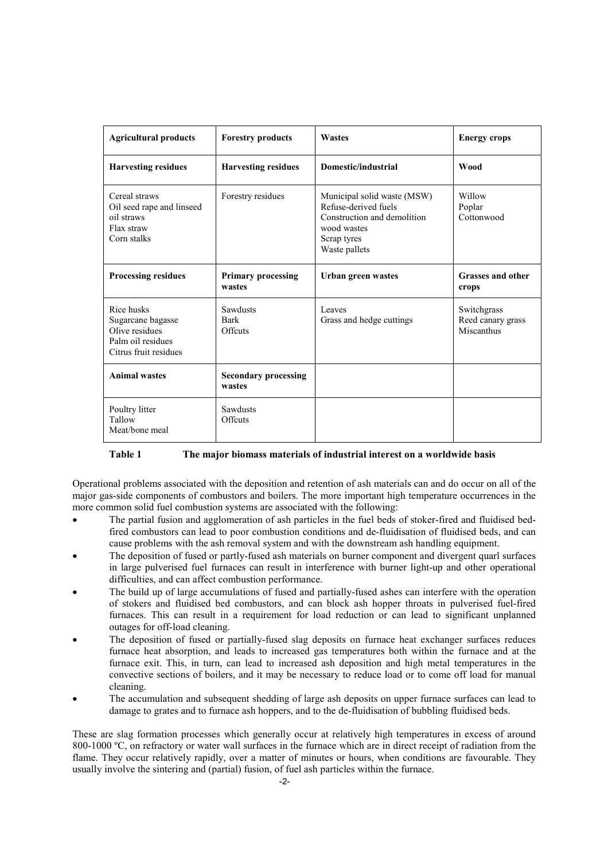| <b>Agricultural products</b>                                                                    | <b>Forestry products</b>                  | <b>Wastes</b>                                                                                                                     | <b>Energy crops</b>                            |
|-------------------------------------------------------------------------------------------------|-------------------------------------------|-----------------------------------------------------------------------------------------------------------------------------------|------------------------------------------------|
| <b>Harvesting residues</b>                                                                      | <b>Harvesting residues</b>                | Domestic/industrial                                                                                                               | <b>Wood</b>                                    |
| Cereal straws<br>Oil seed rape and linseed<br>oil straws<br>Flax straw<br>Corn stalks           | Forestry residues                         | Municipal solid waste (MSW)<br>Refuse-derived fuels<br>Construction and demolition<br>wood wastes<br>Scrap tyres<br>Waste pallets | Willow<br>Poplar<br>Cottonwood                 |
| <b>Processing residues</b>                                                                      | <b>Primary processing</b><br>wastes       | Urban green wastes                                                                                                                | <b>Grasses and other</b><br>crops              |
| Rice husks<br>Sugarcane bagasse<br>Olive residues<br>Palm oil residues<br>Citrus fruit residues | <b>Sawdusts</b><br><b>Bark</b><br>Offcuts | Leaves<br>Grass and hedge cuttings                                                                                                | Switchgrass<br>Reed canary grass<br>Miscanthus |
| <b>Animal wastes</b>                                                                            | <b>Secondary processing</b><br>wastes     |                                                                                                                                   |                                                |
| Poultry litter<br>Tallow<br>Meat/bone meal                                                      | <b>Sawdusts</b><br>Offcuts                |                                                                                                                                   |                                                |

**Table 1 The major biomass materials of industrial interest on a worldwide basis** 

Operational problems associated with the deposition and retention of ash materials can and do occur on all of the major gas-side components of combustors and boilers. The more important high temperature occurrences in the more common solid fuel combustion systems are associated with the following:

- The partial fusion and agglomeration of ash particles in the fuel beds of stoker-fired and fluidised bedfired combustors can lead to poor combustion conditions and de-fluidisation of fluidised beds, and can cause problems with the ash removal system and with the downstream ash handling equipment.
- The deposition of fused or partly-fused ash materials on burner component and divergent quarl surfaces in large pulverised fuel furnaces can result in interference with burner light-up and other operational difficulties, and can affect combustion performance.
- The build up of large accumulations of fused and partially-fused ashes can interfere with the operation of stokers and fluidised bed combustors, and can block ash hopper throats in pulverised fuel-fired furnaces. This can result in a requirement for load reduction or can lead to significant unplanned outages for off-load cleaning.
- The deposition of fused or partially-fused slag deposits on furnace heat exchanger surfaces reduces furnace heat absorption, and leads to increased gas temperatures both within the furnace and at the furnace exit. This, in turn, can lead to increased ash deposition and high metal temperatures in the convective sections of boilers, and it may be necessary to reduce load or to come off load for manual cleaning.
- The accumulation and subsequent shedding of large ash deposits on upper furnace surfaces can lead to damage to grates and to furnace ash hoppers, and to the de-fluidisation of bubbling fluidised beds.

These are slag formation processes which generally occur at relatively high temperatures in excess of around 800-1000 ºC, on refractory or water wall surfaces in the furnace which are in direct receipt of radiation from the flame. They occur relatively rapidly, over a matter of minutes or hours, when conditions are favourable. They usually involve the sintering and (partial) fusion, of fuel ash particles within the furnace.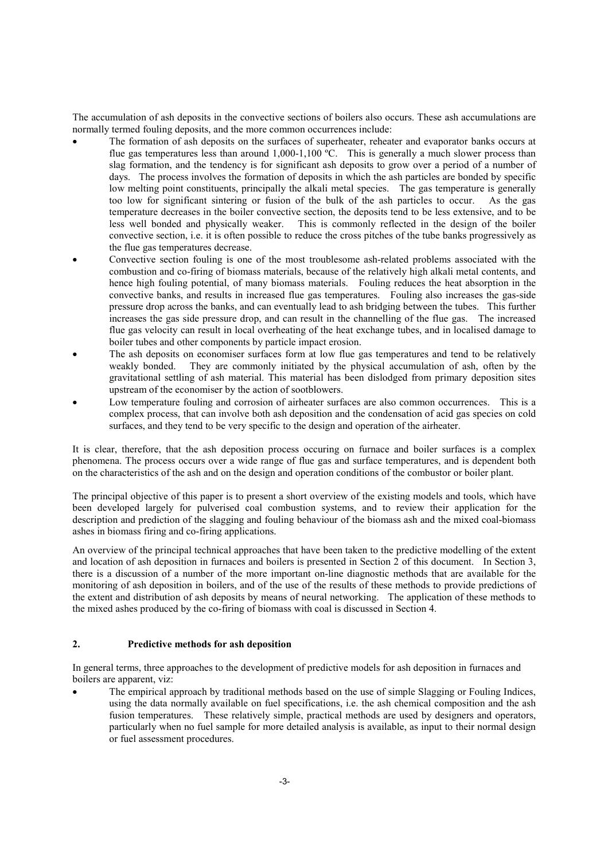The accumulation of ash deposits in the convective sections of boilers also occurs. These ash accumulations are normally termed fouling deposits, and the more common occurrences include:

- The formation of ash deposits on the surfaces of superheater, reheater and evaporator banks occurs at flue gas temperatures less than around  $1,000-1,100$  °C. This is generally a much slower process than slag formation, and the tendency is for significant ash deposits to grow over a period of a number of days. The process involves the formation of deposits in which the ash particles are bonded by specific low melting point constituents, principally the alkali metal species. The gas temperature is generally too low for significant sintering or fusion of the bulk of the ash particles to occur. As the gas temperature decreases in the boiler convective section, the deposits tend to be less extensive, and to be less well bonded and physically weaker. This is commonly reflected in the design of the boiler convective section, i.e. it is often possible to reduce the cross pitches of the tube banks progressively as the flue gas temperatures decrease.
- Convective section fouling is one of the most troublesome ash-related problems associated with the combustion and co-firing of biomass materials, because of the relatively high alkali metal contents, and hence high fouling potential, of many biomass materials. Fouling reduces the heat absorption in the convective banks, and results in increased flue gas temperatures. Fouling also increases the gas-side pressure drop across the banks, and can eventually lead to ash bridging between the tubes. This further increases the gas side pressure drop, and can result in the channelling of the flue gas. The increased flue gas velocity can result in local overheating of the heat exchange tubes, and in localised damage to boiler tubes and other components by particle impact erosion.
- The ash deposits on economiser surfaces form at low flue gas temperatures and tend to be relatively weakly bonded. They are commonly initiated by the physical accumulation of ash, often by the gravitational settling of ash material. This material has been dislodged from primary deposition sites upstream of the economiser by the action of sootblowers.
- Low temperature fouling and corrosion of airheater surfaces are also common occurrences. This is a complex process, that can involve both ash deposition and the condensation of acid gas species on cold surfaces, and they tend to be very specific to the design and operation of the airheater.

It is clear, therefore, that the ash deposition process occuring on furnace and boiler surfaces is a complex phenomena. The process occurs over a wide range of flue gas and surface temperatures, and is dependent both on the characteristics of the ash and on the design and operation conditions of the combustor or boiler plant.

The principal objective of this paper is to present a short overview of the existing models and tools, which have been developed largely for pulverised coal combustion systems, and to review their application for the description and prediction of the slagging and fouling behaviour of the biomass ash and the mixed coal-biomass ashes in biomass firing and co-firing applications.

An overview of the principal technical approaches that have been taken to the predictive modelling of the extent and location of ash deposition in furnaces and boilers is presented in Section 2 of this document. In Section 3, there is a discussion of a number of the more important on-line diagnostic methods that are available for the monitoring of ash deposition in boilers, and of the use of the results of these methods to provide predictions of the extent and distribution of ash deposits by means of neural networking. The application of these methods to the mixed ashes produced by the co-firing of biomass with coal is discussed in Section 4.

# **2. Predictive methods for ash deposition**

In general terms, three approaches to the development of predictive models for ash deposition in furnaces and boilers are apparent, viz:

The empirical approach by traditional methods based on the use of simple Slagging or Fouling Indices, using the data normally available on fuel specifications, i.e. the ash chemical composition and the ash fusion temperatures. These relatively simple, practical methods are used by designers and operators, particularly when no fuel sample for more detailed analysis is available, as input to their normal design or fuel assessment procedures.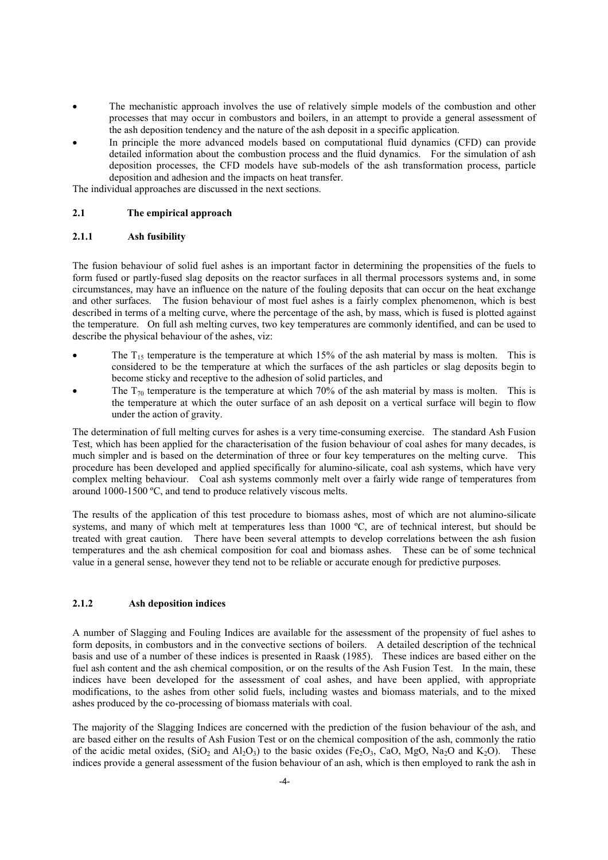- The mechanistic approach involves the use of relatively simple models of the combustion and other processes that may occur in combustors and boilers, in an attempt to provide a general assessment of the ash deposition tendency and the nature of the ash deposit in a specific application.
- In principle the more advanced models based on computational fluid dynamics (CFD) can provide detailed information about the combustion process and the fluid dynamics. For the simulation of ash deposition processes, the CFD models have sub-models of the ash transformation process, particle deposition and adhesion and the impacts on heat transfer.

The individual approaches are discussed in the next sections.

## **2.1 The empirical approach**

## **2.1.1 Ash fusibility**

The fusion behaviour of solid fuel ashes is an important factor in determining the propensities of the fuels to form fused or partly-fused slag deposits on the reactor surfaces in all thermal processors systems and, in some circumstances, may have an influence on the nature of the fouling deposits that can occur on the heat exchange and other surfaces. The fusion behaviour of most fuel ashes is a fairly complex phenomenon, which is best described in terms of a melting curve, where the percentage of the ash, by mass, which is fused is plotted against the temperature. On full ash melting curves, two key temperatures are commonly identified, and can be used to describe the physical behaviour of the ashes, viz:

- The  $T_{15}$  temperature is the temperature at which 15% of the ash material by mass is molten. This is considered to be the temperature at which the surfaces of the ash particles or slag deposits begin to become sticky and receptive to the adhesion of solid particles, and
- The  $T_{70}$  temperature is the temperature at which 70% of the ash material by mass is molten. This is the temperature at which the outer surface of an ash deposit on a vertical surface will begin to flow under the action of gravity.

The determination of full melting curves for ashes is a very time-consuming exercise. The standard Ash Fusion Test, which has been applied for the characterisation of the fusion behaviour of coal ashes for many decades, is much simpler and is based on the determination of three or four key temperatures on the melting curve. This procedure has been developed and applied specifically for alumino-silicate, coal ash systems, which have very complex melting behaviour. Coal ash systems commonly melt over a fairly wide range of temperatures from around 1000-1500 ºC, and tend to produce relatively viscous melts.

The results of the application of this test procedure to biomass ashes, most of which are not alumino-silicate systems, and many of which melt at temperatures less than 1000 °C, are of technical interest, but should be treated with great caution. There have been several attempts to develop correlations between the ash fusion temperatures and the ash chemical composition for coal and biomass ashes. These can be of some technical value in a general sense, however they tend not to be reliable or accurate enough for predictive purposes.

# **2.1.2 Ash deposition indices**

A number of Slagging and Fouling Indices are available for the assessment of the propensity of fuel ashes to form deposits, in combustors and in the convective sections of boilers. A detailed description of the technical basis and use of a number of these indices is presented in Raask (1985). These indices are based either on the fuel ash content and the ash chemical composition, or on the results of the Ash Fusion Test. In the main, these indices have been developed for the assessment of coal ashes, and have been applied, with appropriate modifications, to the ashes from other solid fuels, including wastes and biomass materials, and to the mixed ashes produced by the co-processing of biomass materials with coal.

The majority of the Slagging Indices are concerned with the prediction of the fusion behaviour of the ash, and are based either on the results of Ash Fusion Test or on the chemical composition of the ash, commonly the ratio of the acidic metal oxides,  $(SIO_2$  and  $AIO_3$ ) to the basic oxides (Fe<sub>2</sub>O<sub>3</sub>, CaO, MgO, Na<sub>2</sub>O and K<sub>2</sub>O). These indices provide a general assessment of the fusion behaviour of an ash, which is then employed to rank the ash in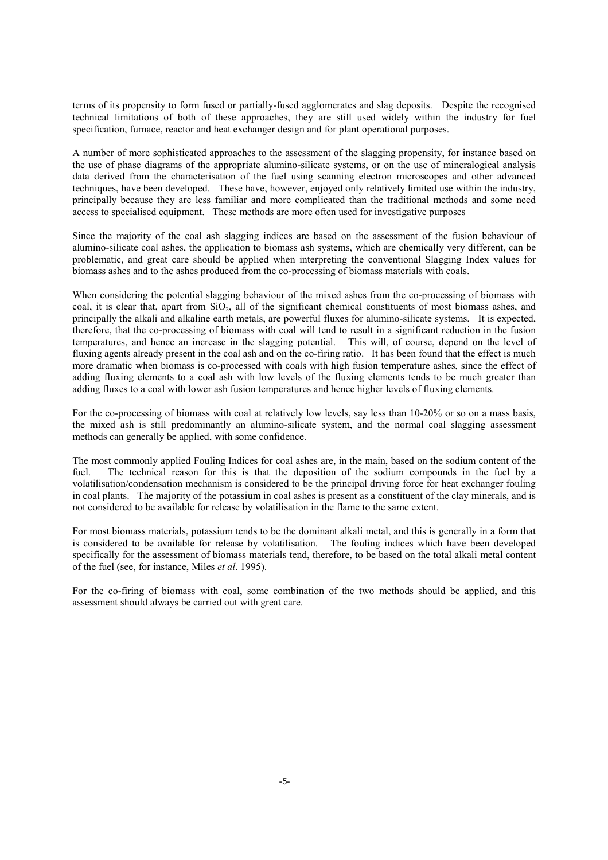terms of its propensity to form fused or partially-fused agglomerates and slag deposits. Despite the recognised technical limitations of both of these approaches, they are still used widely within the industry for fuel specification, furnace, reactor and heat exchanger design and for plant operational purposes.

A number of more sophisticated approaches to the assessment of the slagging propensity, for instance based on the use of phase diagrams of the appropriate alumino-silicate systems, or on the use of mineralogical analysis data derived from the characterisation of the fuel using scanning electron microscopes and other advanced techniques, have been developed. These have, however, enjoyed only relatively limited use within the industry, principally because they are less familiar and more complicated than the traditional methods and some need access to specialised equipment. These methods are more often used for investigative purposes

Since the majority of the coal ash slagging indices are based on the assessment of the fusion behaviour of alumino-silicate coal ashes, the application to biomass ash systems, which are chemically very different, can be problematic, and great care should be applied when interpreting the conventional Slagging Index values for biomass ashes and to the ashes produced from the co-processing of biomass materials with coals.

When considering the potential slagging behaviour of the mixed ashes from the co-processing of biomass with coal, it is clear that, apart from  $SiO<sub>2</sub>$ , all of the significant chemical constituents of most biomass ashes, and principally the alkali and alkaline earth metals, are powerful fluxes for alumino-silicate systems. It is expected, therefore, that the co-processing of biomass with coal will tend to result in a significant reduction in the fusion temperatures, and hence an increase in the slagging potential. This will, of course, depend on the level of fluxing agents already present in the coal ash and on the co-firing ratio. It has been found that the effect is much more dramatic when biomass is co-processed with coals with high fusion temperature ashes, since the effect of adding fluxing elements to a coal ash with low levels of the fluxing elements tends to be much greater than adding fluxes to a coal with lower ash fusion temperatures and hence higher levels of fluxing elements.

For the co-processing of biomass with coal at relatively low levels, say less than  $10-20\%$  or so on a mass basis, the mixed ash is still predominantly an alumino-silicate system, and the normal coal slagging assessment methods can generally be applied, with some confidence.

The most commonly applied Fouling Indices for coal ashes are, in the main, based on the sodium content of the fuel. The technical reason for this is that the deposition of the sodium compounds in the fuel by a volatilisation/condensation mechanism is considered to be the principal driving force for heat exchanger fouling in coal plants. The majority of the potassium in coal ashes is present as a constituent of the clay minerals, and is not considered to be available for release by volatilisation in the flame to the same extent.

For most biomass materials, potassium tends to be the dominant alkali metal, and this is generally in a form that is considered to be available for release by volatilisation. The fouling indices which have been developed specifically for the assessment of biomass materials tend, therefore, to be based on the total alkali metal content of the fuel (see, for instance, Miles *et al*. 1995).

For the co-firing of biomass with coal, some combination of the two methods should be applied, and this assessment should always be carried out with great care.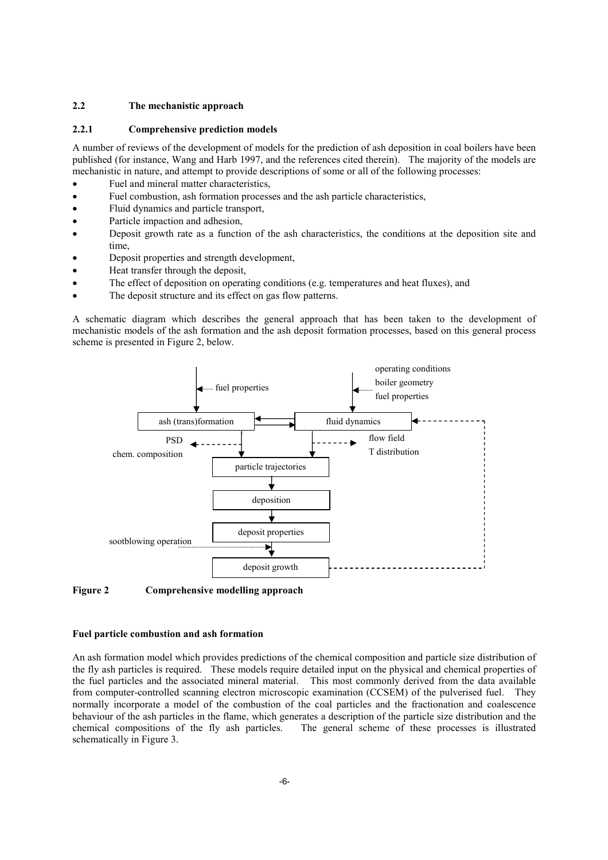## **2.2 The mechanistic approach**

## **2.2.1 Comprehensive prediction models**

A number of reviews of the development of models for the prediction of ash deposition in coal boilers have been published (for instance, Wang and Harb 1997, and the references cited therein). The majority of the models are mechanistic in nature, and attempt to provide descriptions of some or all of the following processes:

- Fuel and mineral matter characteristics,
- Fuel combustion, ash formation processes and the ash particle characteristics,
- Fluid dynamics and particle transport,
- Particle impaction and adhesion.
- Deposit growth rate as a function of the ash characteristics, the conditions at the deposition site and time,
- Deposit properties and strength development,
- Heat transfer through the deposit,
- The effect of deposition on operating conditions (e.g. temperatures and heat fluxes), and
- The deposit structure and its effect on gas flow patterns.

A schematic diagram which describes the general approach that has been taken to the development of mechanistic models of the ash formation and the ash deposit formation processes, based on this general process scheme is presented in Figure 2, below.



**Figure 2 Comprehensive modelling approach** 

## **Fuel particle combustion and ash formation**

An ash formation model which provides predictions of the chemical composition and particle size distribution of the fly ash particles is required. These models require detailed input on the physical and chemical properties of the fuel particles and the associated mineral material. This most commonly derived from the data available from computer-controlled scanning electron microscopic examination (CCSEM) of the pulverised fuel. They normally incorporate a model of the combustion of the coal particles and the fractionation and coalescence behaviour of the ash particles in the flame, which generates a description of the particle size distribution and the chemical compositions of the fly ash particles. The general scheme of these processes is illustrated schematically in Figure 3.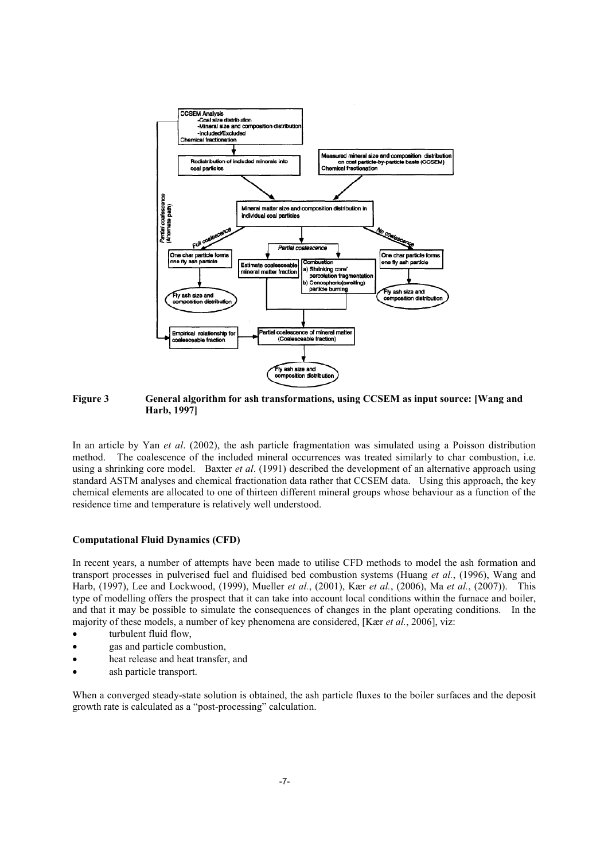

**Figure 3 General algorithm for ash transformations, using CCSEM as input source: [Wang and Harb, 1997]** 

In an article by Yan *et al*. (2002), the ash particle fragmentation was simulated using a Poisson distribution method. The coalescence of the included mineral occurrences was treated similarly to char combustion, i.e. using a shrinking core model. Baxter *et al*. (1991) described the development of an alternative approach using standard ASTM analyses and chemical fractionation data rather that CCSEM data. Using this approach, the key chemical elements are allocated to one of thirteen different mineral groups whose behaviour as a function of the residence time and temperature is relatively well understood.

#### **Computational Fluid Dynamics (CFD)**

In recent years, a number of attempts have been made to utilise CFD methods to model the ash formation and transport processes in pulverised fuel and fluidised bed combustion systems (Huang *et al.*, (1996), Wang and Harb, (1997), Lee and Lockwood, (1999), Mueller *et al.*, (2001), Kær *et al.*, (2006), Ma *et al.*, (2007)). This type of modelling offers the prospect that it can take into account local conditions within the furnace and boiler, and that it may be possible to simulate the consequences of changes in the plant operating conditions. In the majority of these models, a number of key phenomena are considered, [Kær *et al.*, 2006], viz:

- turbulent fluid flow,
- gas and particle combustion,
- heat release and heat transfer, and
- ash particle transport.

When a converged steady-state solution is obtained, the ash particle fluxes to the boiler surfaces and the deposit growth rate is calculated as a "post-processing" calculation.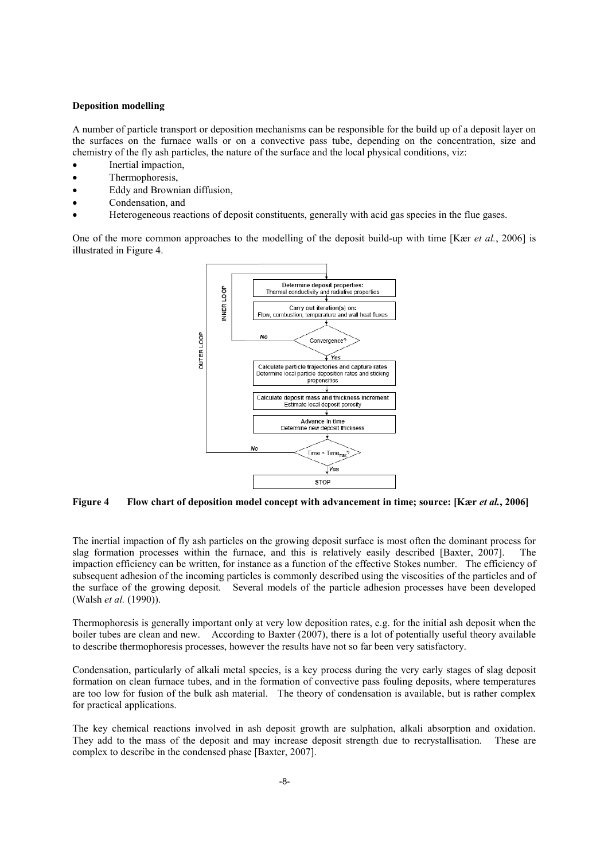## **Deposition modelling**

A number of particle transport or deposition mechanisms can be responsible for the build up of a deposit layer on the surfaces on the furnace walls or on a convective pass tube, depending on the concentration, size and chemistry of the fly ash particles, the nature of the surface and the local physical conditions, viz:

- Inertial impaction,
- Thermophoresis,
- Eddy and Brownian diffusion,
- Condensation, and
- Heterogeneous reactions of deposit constituents, generally with acid gas species in the flue gases.

One of the more common approaches to the modelling of the deposit build-up with time [Kær *et al.*, 2006] is illustrated in Figure 4.



**Figure 4 Flow chart of deposition model concept with advancement in time; source: [Kær** *et al.***, 2006]** 

The inertial impaction of fly ash particles on the growing deposit surface is most often the dominant process for slag formation processes within the furnace, and this is relatively easily described [Baxter, 2007]. The impaction efficiency can be written, for instance as a function of the effective Stokes number. The efficiency of subsequent adhesion of the incoming particles is commonly described using the viscosities of the particles and of the surface of the growing deposit. Several models of the particle adhesion processes have been developed (Walsh *et al.* (1990)).

Thermophoresis is generally important only at very low deposition rates, e.g. for the initial ash deposit when the boiler tubes are clean and new. According to Baxter (2007), there is a lot of potentially useful theory available to describe thermophoresis processes, however the results have not so far been very satisfactory.

Condensation, particularly of alkali metal species, is a key process during the very early stages of slag deposit formation on clean furnace tubes, and in the formation of convective pass fouling deposits, where temperatures are too low for fusion of the bulk ash material. The theory of condensation is available, but is rather complex for practical applications.

The key chemical reactions involved in ash deposit growth are sulphation, alkali absorption and oxidation. They add to the mass of the deposit and may increase deposit strength due to recrystallisation. These are complex to describe in the condensed phase [Baxter, 2007].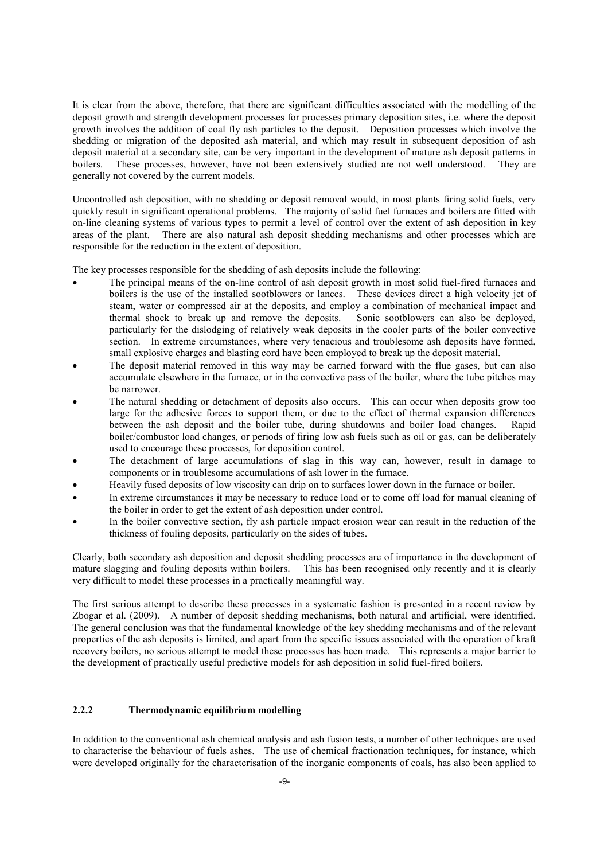It is clear from the above, therefore, that there are significant difficulties associated with the modelling of the deposit growth and strength development processes for processes primary deposition sites, i.e. where the deposit growth involves the addition of coal fly ash particles to the deposit. Deposition processes which involve the shedding or migration of the deposited ash material, and which may result in subsequent deposition of ash deposit material at a secondary site, can be very important in the development of mature ash deposit patterns in boilers. These processes, however, have not been extensively studied are not well understood. They are generally not covered by the current models.

Uncontrolled ash deposition, with no shedding or deposit removal would, in most plants firing solid fuels, very quickly result in significant operational problems. The majority of solid fuel furnaces and boilers are fitted with on-line cleaning systems of various types to permit a level of control over the extent of ash deposition in key areas of the plant. There are also natural ash deposit shedding mechanisms and other processes which are responsible for the reduction in the extent of deposition.

The key processes responsible for the shedding of ash deposits include the following:

- The principal means of the on-line control of ash deposit growth in most solid fuel-fired furnaces and boilers is the use of the installed sootblowers or lances. These devices direct a high velocity jet of steam, water or compressed air at the deposits, and employ a combination of mechanical impact and thermal shock to break up and remove the deposits. Sonic sootblowers can also be deployed, particularly for the dislodging of relatively weak deposits in the cooler parts of the boiler convective section. In extreme circumstances, where very tenacious and troublesome ash deposits have formed, small explosive charges and blasting cord have been employed to break up the deposit material.
- The deposit material removed in this way may be carried forward with the flue gases, but can also accumulate elsewhere in the furnace, or in the convective pass of the boiler, where the tube pitches may be narrower.
- The natural shedding or detachment of deposits also occurs. This can occur when deposits grow too large for the adhesive forces to support them, or due to the effect of thermal expansion differences between the ash deposit and the boiler tube, during shutdowns and boiler load changes. Rapid boiler/combustor load changes, or periods of firing low ash fuels such as oil or gas, can be deliberately used to encourage these processes, for deposition control.
- The detachment of large accumulations of slag in this way can, however, result in damage to components or in troublesome accumulations of ash lower in the furnace.
- Heavily fused deposits of low viscosity can drip on to surfaces lower down in the furnace or boiler.
- In extreme circumstances it may be necessary to reduce load or to come off load for manual cleaning of the boiler in order to get the extent of ash deposition under control.
- In the boiler convective section, fly ash particle impact erosion wear can result in the reduction of the thickness of fouling deposits, particularly on the sides of tubes.

Clearly, both secondary ash deposition and deposit shedding processes are of importance in the development of mature slagging and fouling deposits within boilers. This has been recognised only recently and it is clearly very difficult to model these processes in a practically meaningful way.

The first serious attempt to describe these processes in a systematic fashion is presented in a recent review by Zbogar et al. (2009). A number of deposit shedding mechanisms, both natural and artificial, were identified. The general conclusion was that the fundamental knowledge of the key shedding mechanisms and of the relevant properties of the ash deposits is limited, and apart from the specific issues associated with the operation of kraft recovery boilers, no serious attempt to model these processes has been made. This represents a major barrier to the development of practically useful predictive models for ash deposition in solid fuel-fired boilers.

# **2.2.2 Thermodynamic equilibrium modelling**

In addition to the conventional ash chemical analysis and ash fusion tests, a number of other techniques are used to characterise the behaviour of fuels ashes. The use of chemical fractionation techniques, for instance, which were developed originally for the characterisation of the inorganic components of coals, has also been applied to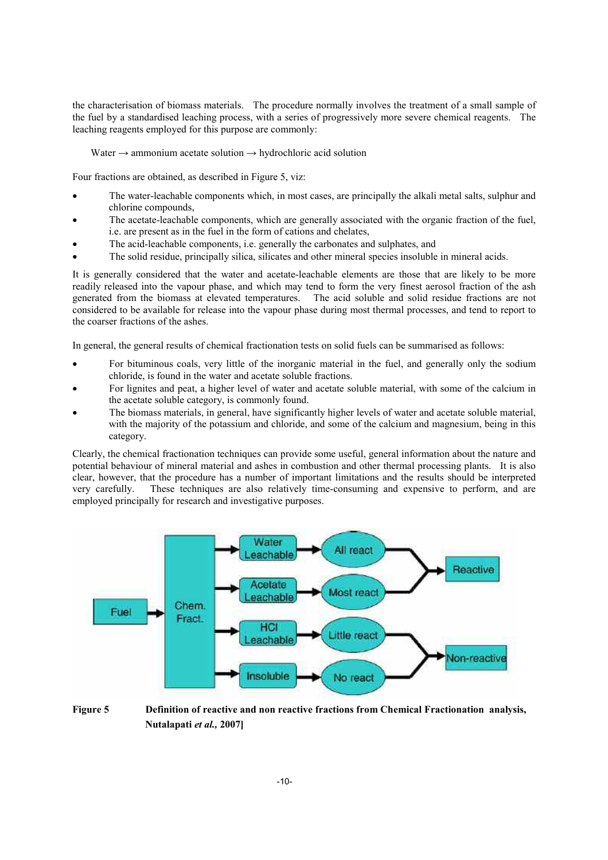the characterisation of biomass materials. The procedure normally involves the treatment of a small sample of the fuel by a standardised leaching process, with a series of progressively more severe chemical reagents. The leaching reagents employed for this purpose are commonly:

Water  $\rightarrow$  ammonium acetate solution  $\rightarrow$  hydrochloric acid solution

Four fractions are obtained, as described in Figure 5, viz:

- The water-leachable components which, in most cases, are principally the alkali metal salts, sulphur and chlorine compounds,
- The acetate-leachable components, which are generally associated with the organic fraction of the fuel, i.e. are present as in the fuel in the form of cations and chelates,
- The acid-leachable components, i.e. generally the carbonates and sulphates, and
- The solid residue, principally silica, silicates and other mineral species insoluble in mineral acids.

It is generally considered that the water and acetate-leachable elements are those that are likely to be more readily released into the vapour phase, and which may tend to form the very finest aerosol fraction of the ash generated from the biomass at elevated temperatures. The acid soluble and solid residue fractions are not considered to be available for release into the vapour phase during most thermal processes, and tend to report to the coarser fractions of the ashes.

In general, the general results of chemical fractionation tests on solid fuels can be summarised as follows:

- For bituminous coals, very little of the inorganic material in the fuel, and generally only the sodium chloride, is found in the water and acetate soluble fractions.
- For lignites and peat, a higher level of water and acetate soluble material, with some of the calcium in the acetate soluble category, is commonly found.
- The biomass materials, in general, have significantly higher levels of water and acetate soluble material, with the majority of the potassium and chloride, and some of the calcium and magnesium, being in this category.

Clearly, the chemical fractionation techniques can provide some useful, general information about the nature and potential behaviour of mineral material and ashes in combustion and other thermal processing plants. It is also clear, however, that the procedure has a number of important limitations and the results should be interpreted very carefully. These techniques are also relatively time-consuming and expensive to perform, and are employed principally for research and investigative purposes.



**Figure 5 Definition of reactive and non reactive fractions from Chemical Fractionation analysis, Nutalapati** *et al.,* **2007]**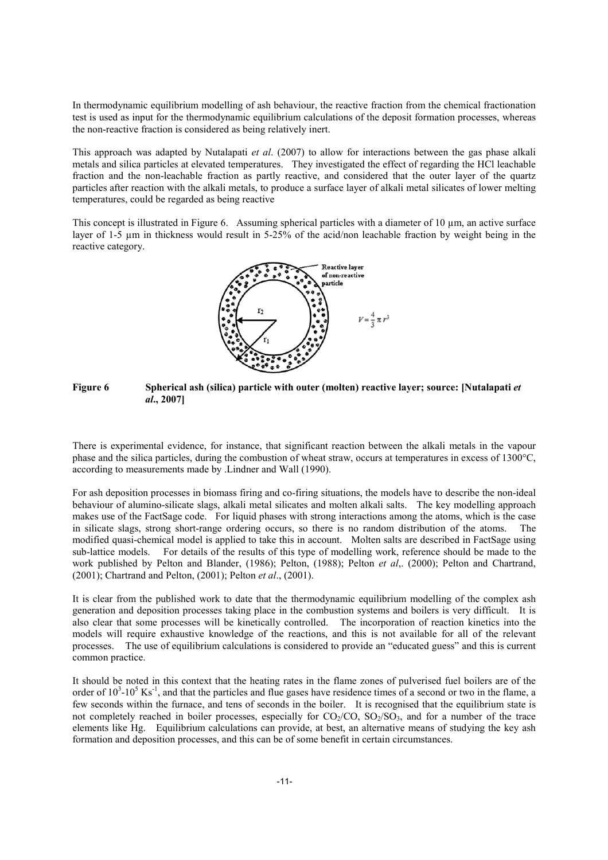In thermodynamic equilibrium modelling of ash behaviour, the reactive fraction from the chemical fractionation test is used as input for the thermodynamic equilibrium calculations of the deposit formation processes, whereas the non-reactive fraction is considered as being relatively inert.

This approach was adapted by Nutalapati *et al*. (2007) to allow for interactions between the gas phase alkali metals and silica particles at elevated temperatures. They investigated the effect of regarding the HCl leachable fraction and the non-leachable fraction as partly reactive, and considered that the outer layer of the quartz particles after reaction with the alkali metals, to produce a surface layer of alkali metal silicates of lower melting temperatures, could be regarded as being reactive

This concept is illustrated in Figure 6. Assuming spherical particles with a diameter of  $10 \mu m$ , an active surface layer of 1-5  $\mu$ m in thickness would result in 5-25% of the acid/non leachable fraction by weight being in the reactive category.



# **Figure 6 Spherical ash (silica) particle with outer (molten) reactive layer; source: [Nutalapati** *et al***., 2007]**

There is experimental evidence, for instance, that significant reaction between the alkali metals in the vapour phase and the silica particles, during the combustion of wheat straw, occurs at temperatures in excess of 1300°C, according to measurements made by .Lindner and Wall (1990).

For ash deposition processes in biomass firing and co-firing situations, the models have to describe the non-ideal behaviour of alumino-silicate slags, alkali metal silicates and molten alkali salts. The key modelling approach makes use of the FactSage code. For liquid phases with strong interactions among the atoms, which is the case in silicate slags, strong short-range ordering occurs, so there is no random distribution of the atoms. The modified quasi-chemical model is applied to take this in account. Molten salts are described in FactSage using sub-lattice models. For details of the results of this type of modelling work, reference should be made to the work published by Pelton and Blander, (1986); Pelton, (1988); Pelton *et al*,. (2000); Pelton and Chartrand, (2001); Chartrand and Pelton, (2001); Pelton *et al*., (2001).

It is clear from the published work to date that the thermodynamic equilibrium modelling of the complex ash generation and deposition processes taking place in the combustion systems and boilers is very difficult. It is also clear that some processes will be kinetically controlled. The incorporation of reaction kinetics into the models will require exhaustive knowledge of the reactions, and this is not available for all of the relevant processes. The use of equilibrium calculations is considered to provide an "educated guess" and this is current common practice.

It should be noted in this context that the heating rates in the flame zones of pulverised fuel boilers are of the order of  $10^3$ - $10^5$  Ks<sup>-1</sup>, and that the particles and flue gases have residence times of a second or two in the flame, a few seconds within the furnace, and tens of seconds in the boiler. It is recognised that the equilibrium state is not completely reached in boiler processes, especially for  $CO_2/CO$ ,  $SO_2/SO_3$ , and for a number of the trace elements like Hg. Equilibrium calculations can provide, at best, an alternative means of studying the key ash formation and deposition processes, and this can be of some benefit in certain circumstances.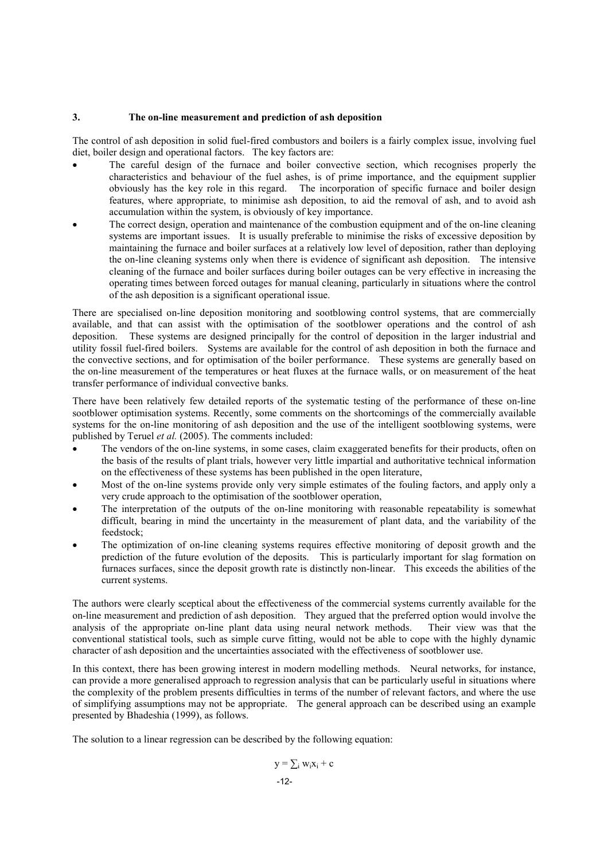# **3. The on-line measurement and prediction of ash deposition**

The control of ash deposition in solid fuel-fired combustors and boilers is a fairly complex issue, involving fuel diet, boiler design and operational factors. The key factors are:

- The careful design of the furnace and boiler convective section, which recognises properly the characteristics and behaviour of the fuel ashes, is of prime importance, and the equipment supplier obviously has the key role in this regard. The incorporation of specific furnace and boiler design features, where appropriate, to minimise ash deposition, to aid the removal of ash, and to avoid ash accumulation within the system, is obviously of key importance.
- The correct design, operation and maintenance of the combustion equipment and of the on-line cleaning systems are important issues. It is usually preferable to minimise the risks of excessive deposition by maintaining the furnace and boiler surfaces at a relatively low level of deposition, rather than deploying the on-line cleaning systems only when there is evidence of significant ash deposition. The intensive cleaning of the furnace and boiler surfaces during boiler outages can be very effective in increasing the operating times between forced outages for manual cleaning, particularly in situations where the control of the ash deposition is a significant operational issue.

There are specialised on-line deposition monitoring and sootblowing control systems, that are commercially available, and that can assist with the optimisation of the sootblower operations and the control of ash deposition. These systems are designed principally for the control of deposition in the larger industrial and utility fossil fuel-fired boilers. Systems are available for the control of ash deposition in both the furnace and the convective sections, and for optimisation of the boiler performance. These systems are generally based on the on-line measurement of the temperatures or heat fluxes at the furnace walls, or on measurement of the heat transfer performance of individual convective banks.

There have been relatively few detailed reports of the systematic testing of the performance of these on-line sootblower optimisation systems. Recently, some comments on the shortcomings of the commercially available systems for the on-line monitoring of ash deposition and the use of the intelligent sootblowing systems, were published by Teruel *et al.* (2005). The comments included:

- The vendors of the on-line systems, in some cases, claim exaggerated benefits for their products, often on the basis of the results of plant trials, however very little impartial and authoritative technical information on the effectiveness of these systems has been published in the open literature,
- Most of the on-line systems provide only very simple estimates of the fouling factors, and apply only a very crude approach to the optimisation of the sootblower operation,
- The interpretation of the outputs of the on-line monitoring with reasonable repeatability is somewhat difficult, bearing in mind the uncertainty in the measurement of plant data, and the variability of the feedstock;
- The optimization of on-line cleaning systems requires effective monitoring of deposit growth and the prediction of the future evolution of the deposits. This is particularly important for slag formation on furnaces surfaces, since the deposit growth rate is distinctly non-linear. This exceeds the abilities of the current systems.

The authors were clearly sceptical about the effectiveness of the commercial systems currently available for the on-line measurement and prediction of ash deposition. They argued that the preferred option would involve the analysis of the appropriate on-line plant data using neural network methods. Their view was that the conventional statistical tools, such as simple curve fitting, would not be able to cope with the highly dynamic character of ash deposition and the uncertainties associated with the effectiveness of sootblower use.

In this context, there has been growing interest in modern modelling methods. Neural networks, for instance, can provide a more generalised approach to regression analysis that can be particularly useful in situations where the complexity of the problem presents difficulties in terms of the number of relevant factors, and where the use of simplifying assumptions may not be appropriate. The general approach can be described using an example presented by Bhadeshia (1999), as follows.

The solution to a linear regression can be described by the following equation:

$$
y = \sum_i w_i x_i + c
$$
  
-12-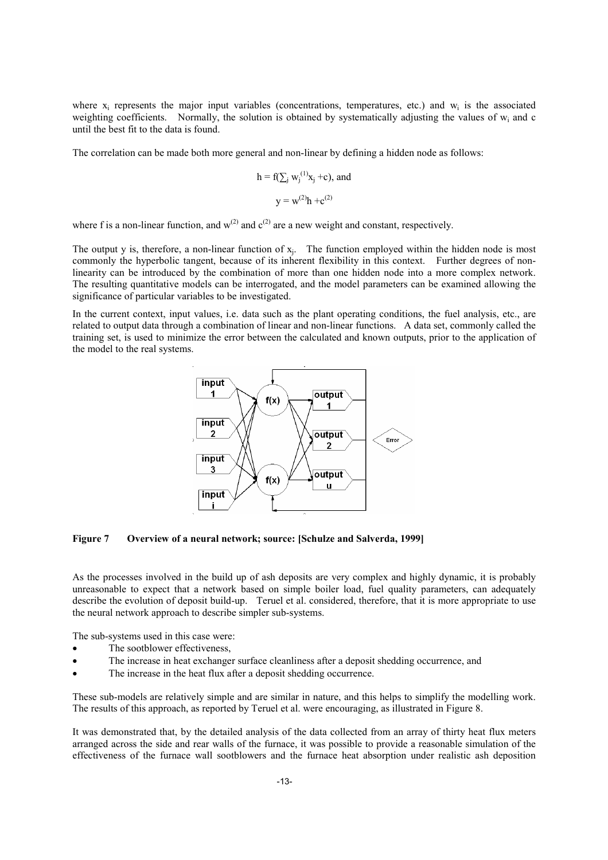where  $x_i$  represents the major input variables (concentrations, temperatures, etc.) and  $w_i$  is the associated weighting coefficients. Normally, the solution is obtained by systematically adjusting the values of w<sub>i</sub> and c until the best fit to the data is found.

The correlation can be made both more general and non-linear by defining a hidden node as follows:

h = f(
$$
\sum_{j}
$$
 w<sub>j</sub><sup>(1)</sup>x<sub>j</sub> +c), and  
y = w<sup>(2)</sup>h +c<sup>(2)</sup>

where f is a non-linear function, and  $w^{(2)}$  and  $c^{(2)}$  are a new weight and constant, respectively.

The output y is, therefore, a non-linear function of xj. The function employed within the hidden node is most commonly the hyperbolic tangent, because of its inherent flexibility in this context. Further degrees of nonlinearity can be introduced by the combination of more than one hidden node into a more complex network. The resulting quantitative models can be interrogated, and the model parameters can be examined allowing the significance of particular variables to be investigated.

In the current context, input values, i.e. data such as the plant operating conditions, the fuel analysis, etc., are related to output data through a combination of linear and non-linear functions. A data set, commonly called the training set, is used to minimize the error between the calculated and known outputs, prior to the application of the model to the real systems.



**Figure 7 Overview of a neural network; source: [Schulze and Salverda, 1999]** 

As the processes involved in the build up of ash deposits are very complex and highly dynamic, it is probably unreasonable to expect that a network based on simple boiler load, fuel quality parameters, can adequately describe the evolution of deposit build-up. Teruel et al. considered, therefore, that it is more appropriate to use the neural network approach to describe simpler sub-systems.

The sub-systems used in this case were:

- The sootblower effectiveness.
- The increase in heat exchanger surface cleanliness after a deposit shedding occurrence, and
- The increase in the heat flux after a deposit shedding occurrence.

These sub-models are relatively simple and are similar in nature, and this helps to simplify the modelling work. The results of this approach, as reported by Teruel et al. were encouraging, as illustrated in Figure 8.

It was demonstrated that, by the detailed analysis of the data collected from an array of thirty heat flux meters arranged across the side and rear walls of the furnace, it was possible to provide a reasonable simulation of the effectiveness of the furnace wall sootblowers and the furnace heat absorption under realistic ash deposition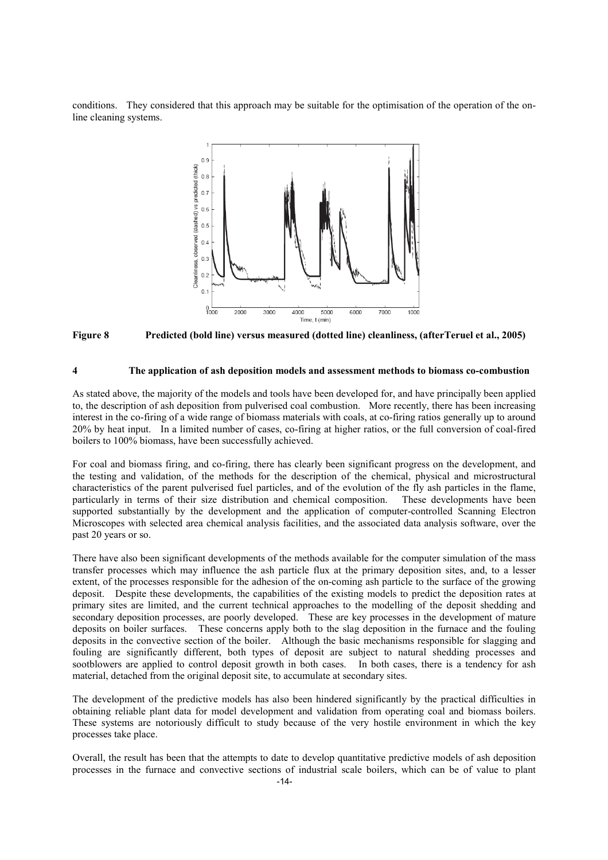conditions. They considered that this approach may be suitable for the optimisation of the operation of the online cleaning systems.



**Figure 8 Predicted (bold line) versus measured (dotted line) cleanliness, (afterTeruel et al., 2005)** 

## **4 The application of ash deposition models and assessment methods to biomass co-combustion**

As stated above, the majority of the models and tools have been developed for, and have principally been applied to, the description of ash deposition from pulverised coal combustion. More recently, there has been increasing interest in the co-firing of a wide range of biomass materials with coals, at co-firing ratios generally up to around 20% by heat input. In a limited number of cases, co-firing at higher ratios, or the full conversion of coal-fired boilers to 100% biomass, have been successfully achieved.

For coal and biomass firing, and co-firing, there has clearly been significant progress on the development, and the testing and validation, of the methods for the description of the chemical, physical and microstructural characteristics of the parent pulverised fuel particles, and of the evolution of the fly ash particles in the flame, particularly in terms of their size distribution and chemical composition. These developments have been supported substantially by the development and the application of computer-controlled Scanning Electron Microscopes with selected area chemical analysis facilities, and the associated data analysis software, over the past 20 years or so.

There have also been significant developments of the methods available for the computer simulation of the mass transfer processes which may influence the ash particle flux at the primary deposition sites, and, to a lesser extent, of the processes responsible for the adhesion of the on-coming ash particle to the surface of the growing deposit. Despite these developments, the capabilities of the existing models to predict the deposition rates at primary sites are limited, and the current technical approaches to the modelling of the deposit shedding and secondary deposition processes, are poorly developed. These are key processes in the development of mature deposits on boiler surfaces. These concerns apply both to the slag deposition in the furnace and the fouling deposits in the convective section of the boiler. Although the basic mechanisms responsible for slagging and fouling are significantly different, both types of deposit are subject to natural shedding processes and sootblowers are applied to control deposit growth in both cases. In both cases, there is a tendency for ash material, detached from the original deposit site, to accumulate at secondary sites.

The development of the predictive models has also been hindered significantly by the practical difficulties in obtaining reliable plant data for model development and validation from operating coal and biomass boilers. These systems are notoriously difficult to study because of the very hostile environment in which the key processes take place.

Overall, the result has been that the attempts to date to develop quantitative predictive models of ash deposition processes in the furnace and convective sections of industrial scale boilers, which can be of value to plant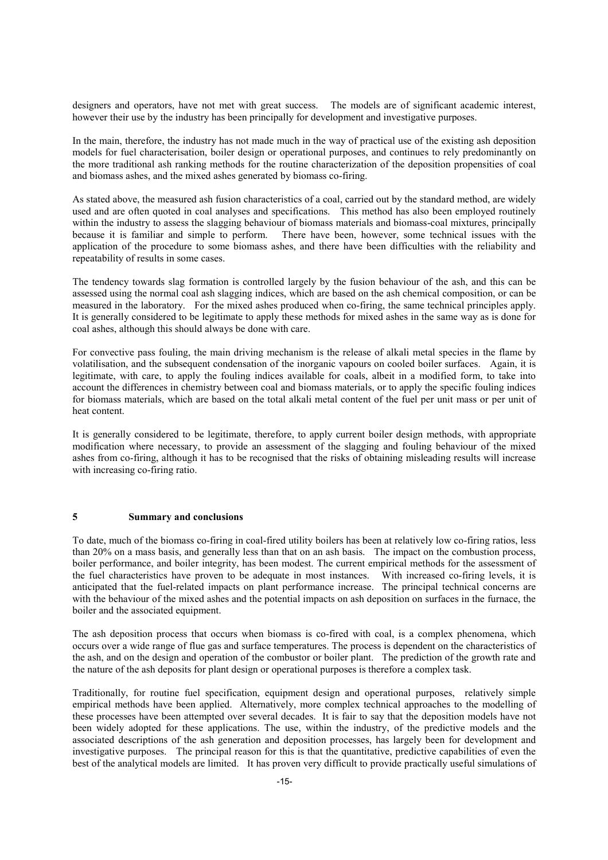designers and operators, have not met with great success. The models are of significant academic interest, however their use by the industry has been principally for development and investigative purposes.

In the main, therefore, the industry has not made much in the way of practical use of the existing ash deposition models for fuel characterisation, boiler design or operational purposes, and continues to rely predominantly on the more traditional ash ranking methods for the routine characterization of the deposition propensities of coal and biomass ashes, and the mixed ashes generated by biomass co-firing.

As stated above, the measured ash fusion characteristics of a coal, carried out by the standard method, are widely used and are often quoted in coal analyses and specifications. This method has also been employed routinely within the industry to assess the slagging behaviour of biomass materials and biomass-coal mixtures, principally because it is familiar and simple to perform. There have been, however, some technical issues with the application of the procedure to some biomass ashes, and there have been difficulties with the reliability and repeatability of results in some cases.

The tendency towards slag formation is controlled largely by the fusion behaviour of the ash, and this can be assessed using the normal coal ash slagging indices, which are based on the ash chemical composition, or can be measured in the laboratory. For the mixed ashes produced when co-firing, the same technical principles apply. It is generally considered to be legitimate to apply these methods for mixed ashes in the same way as is done for coal ashes, although this should always be done with care.

For convective pass fouling, the main driving mechanism is the release of alkali metal species in the flame by volatilisation, and the subsequent condensation of the inorganic vapours on cooled boiler surfaces. Again, it is legitimate, with care, to apply the fouling indices available for coals, albeit in a modified form, to take into account the differences in chemistry between coal and biomass materials, or to apply the specific fouling indices for biomass materials, which are based on the total alkali metal content of the fuel per unit mass or per unit of heat content.

It is generally considered to be legitimate, therefore, to apply current boiler design methods, with appropriate modification where necessary, to provide an assessment of the slagging and fouling behaviour of the mixed ashes from co-firing, although it has to be recognised that the risks of obtaining misleading results will increase with increasing co-firing ratio.

#### **5 Summary and conclusions**

To date, much of the biomass co-firing in coal-fired utility boilers has been at relatively low co-firing ratios, less than 20% on a mass basis, and generally less than that on an ash basis. The impact on the combustion process, boiler performance, and boiler integrity, has been modest. The current empirical methods for the assessment of the fuel characteristics have proven to be adequate in most instances. With increased co-firing levels, it is anticipated that the fuel-related impacts on plant performance increase. The principal technical concerns are with the behaviour of the mixed ashes and the potential impacts on ash deposition on surfaces in the furnace, the boiler and the associated equipment.

The ash deposition process that occurs when biomass is co-fired with coal, is a complex phenomena, which occurs over a wide range of flue gas and surface temperatures. The process is dependent on the characteristics of the ash, and on the design and operation of the combustor or boiler plant. The prediction of the growth rate and the nature of the ash deposits for plant design or operational purposes is therefore a complex task.

Traditionally, for routine fuel specification, equipment design and operational purposes, relatively simple empirical methods have been applied. Alternatively, more complex technical approaches to the modelling of these processes have been attempted over several decades. It is fair to say that the deposition models have not been widely adopted for these applications. The use, within the industry, of the predictive models and the associated descriptions of the ash generation and deposition processes, has largely been for development and investigative purposes. The principal reason for this is that the quantitative, predictive capabilities of even the best of the analytical models are limited. It has proven very difficult to provide practically useful simulations of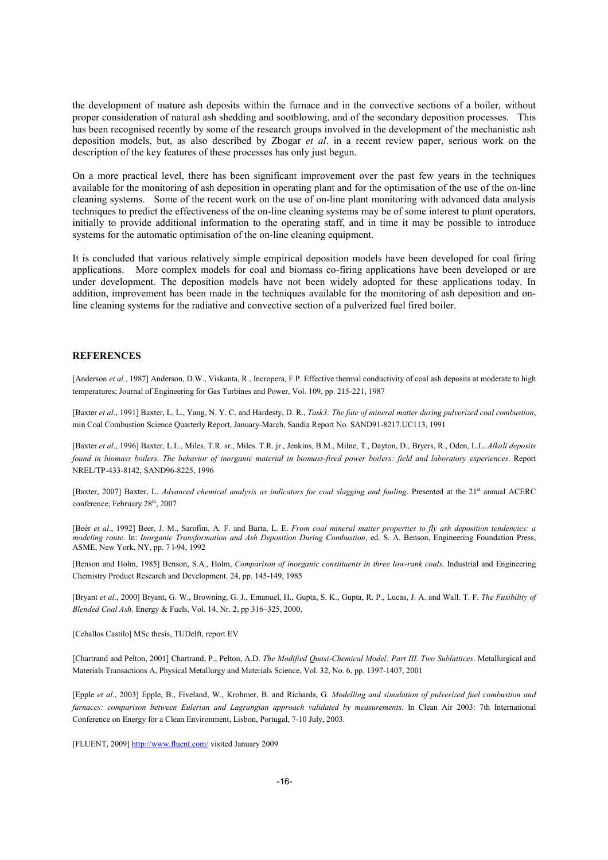the development of mature ash deposits within the furnace and in the convective sections of a boiler, without proper consideration of natural ash shedding and sootblowing, and of the secondary deposition processes. This has been recognised recently by some of the research groups involved in the development of the mechanistic ash deposition models, but, as also described by Zbogar *et al*. in a recent review paper, serious work on the description of the key features of these processes has only just begun.

On a more practical level, there has been significant improvement over the past few years in the techniques available for the monitoring of ash deposition in operating plant and for the optimisation of the use of the on-line cleaning systems. Some of the recent work on the use of on-line plant monitoring with advanced data analysis techniques to predict the effectiveness of the on-line cleaning systems may be of some interest to plant operators, initially to provide additional information to the operating staff, and in time it may be possible to introduce systems for the automatic optimisation of the on-line cleaning equipment.

It is concluded that various relatively simple empirical deposition models have been developed for coal firing applications. More complex models for coal and biomass co-firing applications have been developed or are under development. The deposition models have not been widely adopted for these applications today. In addition, improvement has been made in the techniques available for the monitoring of ash deposition and online cleaning systems for the radiative and convective section of a pulverized fuel fired boiler.

# **REFERENCES**

[Anderson *et al.*, 1987] Anderson, D.W., Viskanta, R., Incropera, F.P. Effective thermal conductivity of coal ash deposits at moderate to high temperatures; Journal of Engineering for Gas Turbines and Power, Vol. 109, pp. 215-221, 1987

[Baxter *et al*., 1991] Baxter, L. L., Yang, N. Y. C. and Hardesty, D. R., *Task3: The fate of mineral matter during pulverized coal combustion*, min Coal Combustion Science Quarterly Report, January-March, Sandia Report No. SAND91-8217.UC113, 1991

[Baxter *et al*., 1996] Baxter, L.L., Miles. T.R. sr., Miles. T.R. jr., Jenkins, B.M., Milne, T., Dayton, D., Bryers, R., Oden, L.L. *Alkali deposits found in biomass boilers. The behavior of inorganic material in biomass-fired power boilers: field and laboratory experiences*. Report NREL/TP-433-8142, SAND96-8225, 1996

[Baxter, 2007] Baxter, L. *Advanced chemical analysis as indicators for coal slagging and fouling*. Presented at the 21<sup>st</sup> annual ACERC conference, February 28<sup>th</sup>, 2007

[Beér *et al*., 1992] Beer, J. M., Sarofim, A. F. and Barta, L. E. *From coal mineral matter properties to fly ash deposition tendencies: a modeling route*. In: *Inorganic Transformation and Ash Deposition During Combustion*, ed. S. A. Benson, Engineering Foundation Press, ASME, New York, NY, pp. 7 l-94, 1992

[Benson and Holm, 1985] Benson, S.A., Holm, *Comparison of inorganic constituents in three low-rank coals*. Industrial and Engineering Chemistry Product Research and Development. 24, pp. 145-149, 1985

[Bryant *et al*., 2000] Bryant, G. W., Browning, G. J., Emanuel, H., Gupta, S. K., Gupta, R. P., Lucas, J. A. and Wall. T. F. *The Fusibility of Blended Coal Ash*. Energy & Fuels, Vol. 14, Nr. 2, pp 316–325, 2000.

[Ceballos Castilo] MSc thesis, TUDelft, report EV

[Chartrand and Pelton, 2001] Chartrand, P., Pelton, A.D. *The Modified Quasi-Chemical Model: Part III. Two Sublattices*. Metallurgical and Materials Transactions A, Physical Metallurgy and Materials Science, Vol. 32, No. 6, pp. 1397-1407, 2001

[Epple *et al*., 2003] Epple, B., Fiveland, W., Krohmer, B. and Richards, G. *Modelling and simulation of pulverized fuel combustion and furnaces: comparison between Eulerian and Lagrangian approach validated by measurements*. In Clean Air 2003: 7th International Conference on Energy for a Clean Environment, Lisbon, Portugal, 7-10 July, 2003.

[FLUENT, 2009] http://www.fluent.com/ visited January 2009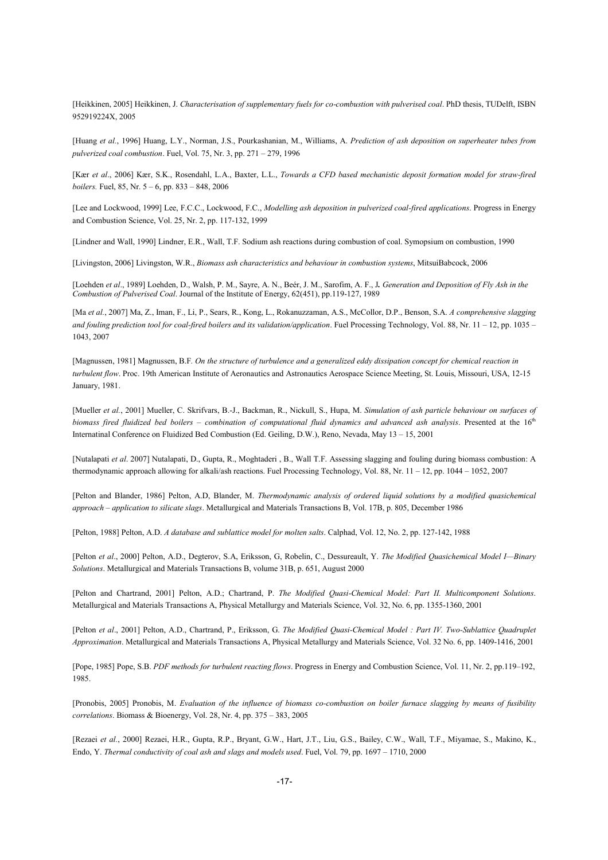[Heikkinen, 2005] Heikkinen, J. *Characterisation of supplementary fuels for co-combustion with pulverised coal*. PhD thesis, TUDelft, ISBN 952919224X, 2005

[Huang *et al.*, 1996] Huang, L.Y., Norman, J.S., Pourkashanian, M., Williams, A. *Prediction of ash deposition on superheater tubes from pulverized coal combustion*. Fuel, Vol. 75, Nr. 3, pp. 271 – 279, 1996

[Kær *et al*., 2006] Kær, S.K., Rosendahl, L.A., Baxter, L.L., *Towards a CFD based mechanistic deposit formation model for straw-fired boilers.* Fuel, 85, Nr. 5 – 6, pp. 833 – 848, 2006

[Lee and Lockwood, 1999] Lee, F.C.C., Lockwood, F.C., *Modelling ash deposition in pulverized coal-fired applications*. Progress in Energy and Combustion Science, Vol. 25, Nr. 2, pp. 117-132, 1999

[Lindner and Wall, 1990] Lindner, E.R., Wall, T.F. Sodium ash reactions during combustion of coal. Symopsium on combustion, 1990

[Livingston, 2006] Livingston, W.R., *Biomass ash characteristics and behaviour in combustion systems*, MitsuiBabcock, 2006

[Loehden *et al*., 1989] Loehden, D., Walsh, P. M., Sayre, A. N., Beér, J. M., Sarofim, A. F., J*. Generation and Deposition of Fly Ash in the Combustion of Pulverised Coal*. Journal of the Institute of Energy, 62(451), pp.119-127, 1989

[Ma *et al.*, 2007] Ma, Z., Iman, F., Li, P., Sears, R., Kong, L., Rokanuzzaman, A.S., McCollor, D.P., Benson, S.A. *A comprehensive slagging and fouling prediction tool for coal-fired boilers and its validation/application*. Fuel Processing Technology, Vol. 88, Nr. 11 – 12, pp. 1035 – 1043, 2007

[Magnussen, 1981] Magnussen, B.F*. On the structure of turbulence and a generalized eddy dissipation concept for chemical reaction in turbulent flow*. Proc. 19th American Institute of Aeronautics and Astronautics Aerospace Science Meeting, St. Louis, Missouri, USA, 12-15 January, 1981.

[Mueller *et al.*, 2001] Mueller, C. Skrifvars, B.-J., Backman, R., Nickull, S., Hupa, M. *Simulation of ash particle behaviour on surfaces of biomass fired fluidized bed boilers – combination of computational fluid dynamics and advanced ash analysis*. Presented at the 16<sup>th</sup> Internatinal Conference on Fluidized Bed Combustion (Ed. Geiling, D.W.), Reno, Nevada, May 13 – 15, 2001

[Nutalapati *et al*. 2007] Nutalapati, D., Gupta, R., Moghtaderi , B., Wall T.F. Assessing slagging and fouling during biomass combustion: A thermodynamic approach allowing for alkali/ash reactions. Fuel Processing Technology, Vol. 88, Nr. 11 – 12, pp. 1044 – 1052, 2007

[Pelton and Blander, 1986] Pelton, A.D, Blander, M. *Thermodynamic analysis of ordered liquid solutions by a modified quasichemical approach – application to silicate slags*. Metallurgical and Materials Transactions B, Vol. 17B, p. 805, December 1986

[Pelton, 1988] Pelton, A.D. *A database and sublattice model for molten salts*. Calphad, Vol. 12, No. 2, pp. 127-142, 1988

[Pelton *et al*., 2000] Pelton, A.D., Degterov, S.A, Eriksson, G, Robelin, C., Dessureault, Y. *The Modified Quasichemical Model I—Binary Solutions*. Metallurgical and Materials Transactions B, volume 31B, p. 651, August 2000

[Pelton and Chartrand, 2001] Pelton, A.D.; Chartrand, P. *The Modified Quasi-Chemical Model: Part II. Multicomponent Solutions*. Metallurgical and Materials Transactions A, Physical Metallurgy and Materials Science, Vol. 32, No. 6, pp. 1355-1360, 2001

[Pelton *et al*., 2001] Pelton, A.D., Chartrand, P., Eriksson, G. *The Modified Quasi-Chemical Model : Part IV. Two-Sublattice Quadruplet Approximation*. Metallurgical and Materials Transactions A, Physical Metallurgy and Materials Science, Vol. 32 No. 6, pp. 1409-1416, 2001

[Pope, 1985] Pope, S.B. *PDF methods for turbulent reacting flows*. Progress in Energy and Combustion Science, Vol. 11, Nr. 2, pp.119–192, 1985.

[Pronobis, 2005] Pronobis, M. *Evaluation of the influence of biomass co-combustion on boiler furnace slagging by means of fusibility correlations*. Biomass & Bioenergy, Vol. 28, Nr. 4, pp. 375 – 383, 2005

[Rezaei *et al.*, 2000] Rezaei, H.R., Gupta, R.P., Bryant, G.W., Hart, J.T., Liu, G.S., Bailey, C.W., Wall, T.F., Miyamae, S., Makino, K., Endo, Y. *Thermal conductivity of coal ash and slags and models used*. Fuel, Vol. 79, pp. 1697 – 1710, 2000